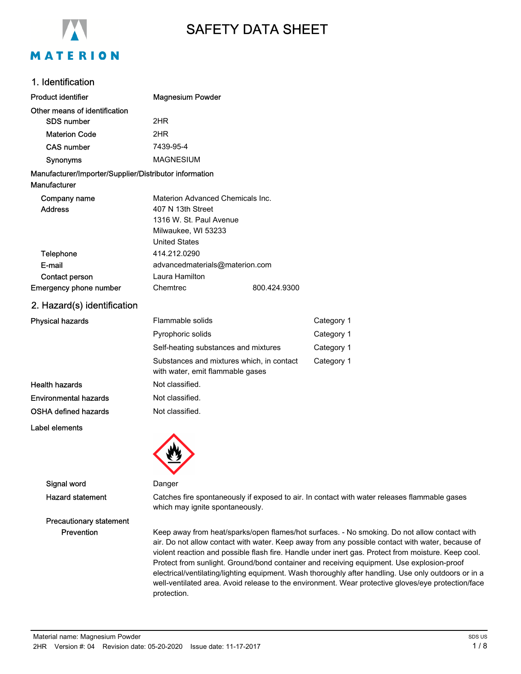

# SAFETY DATA SHEET

### 1. Identification

| <b>Product identifier</b>                              | <b>Magnesium Powder</b>                                                       |              |                                                                                                                                                                                                                                                                                           |
|--------------------------------------------------------|-------------------------------------------------------------------------------|--------------|-------------------------------------------------------------------------------------------------------------------------------------------------------------------------------------------------------------------------------------------------------------------------------------------|
| Other means of identification                          |                                                                               |              |                                                                                                                                                                                                                                                                                           |
| <b>SDS number</b>                                      | 2HR                                                                           |              |                                                                                                                                                                                                                                                                                           |
| <b>Materion Code</b>                                   | 2HR                                                                           |              |                                                                                                                                                                                                                                                                                           |
| <b>CAS number</b>                                      | 7439-95-4                                                                     |              |                                                                                                                                                                                                                                                                                           |
| Synonyms                                               | <b>MAGNESIUM</b>                                                              |              |                                                                                                                                                                                                                                                                                           |
| Manufacturer/Importer/Supplier/Distributor information |                                                                               |              |                                                                                                                                                                                                                                                                                           |
| Manufacturer                                           |                                                                               |              |                                                                                                                                                                                                                                                                                           |
| Company name                                           | Materion Advanced Chemicals Inc.                                              |              |                                                                                                                                                                                                                                                                                           |
| <b>Address</b>                                         | 407 N 13th Street                                                             |              |                                                                                                                                                                                                                                                                                           |
|                                                        | 1316 W. St. Paul Avenue                                                       |              |                                                                                                                                                                                                                                                                                           |
|                                                        | Milwaukee, WI 53233                                                           |              |                                                                                                                                                                                                                                                                                           |
|                                                        | <b>United States</b>                                                          |              |                                                                                                                                                                                                                                                                                           |
| Telephone                                              | 414.212.0290                                                                  |              |                                                                                                                                                                                                                                                                                           |
| E-mail                                                 | advancedmaterials@materion.com                                                |              |                                                                                                                                                                                                                                                                                           |
| Contact person                                         | Laura Hamilton                                                                |              |                                                                                                                                                                                                                                                                                           |
| <b>Emergency phone number</b>                          | Chemtrec                                                                      | 800.424.9300 |                                                                                                                                                                                                                                                                                           |
| 2. Hazard(s) identification                            |                                                                               |              |                                                                                                                                                                                                                                                                                           |
| <b>Physical hazards</b>                                | Flammable solids                                                              |              | Category 1                                                                                                                                                                                                                                                                                |
|                                                        | Pyrophoric solids                                                             |              | Category 1                                                                                                                                                                                                                                                                                |
|                                                        | Self-heating substances and mixtures                                          |              | Category 1                                                                                                                                                                                                                                                                                |
|                                                        | Substances and mixtures which, in contact<br>with water, emit flammable gases |              | Category 1                                                                                                                                                                                                                                                                                |
| <b>Health hazards</b>                                  | Not classified.                                                               |              |                                                                                                                                                                                                                                                                                           |
| <b>Environmental hazards</b>                           | Not classified.                                                               |              |                                                                                                                                                                                                                                                                                           |
| <b>OSHA defined hazards</b>                            | Not classified.                                                               |              |                                                                                                                                                                                                                                                                                           |
| Label elements                                         |                                                                               |              |                                                                                                                                                                                                                                                                                           |
|                                                        |                                                                               |              |                                                                                                                                                                                                                                                                                           |
|                                                        |                                                                               |              |                                                                                                                                                                                                                                                                                           |
| Signal word                                            | Danger                                                                        |              |                                                                                                                                                                                                                                                                                           |
| <b>Hazard statement</b>                                | which may ignite spontaneously.                                               |              | Catches fire spontaneously if exposed to air. In contact with water releases flammable gases                                                                                                                                                                                              |
| <b>Precautionary statement</b>                         |                                                                               |              |                                                                                                                                                                                                                                                                                           |
| Prevention                                             |                                                                               |              | Keep away from heat/sparks/open flames/hot surfaces. - No smoking. Do not allow contact w<br>air. Do not allow contact with water. Keep away from any possible contact with water, becaus<br>Lont recetion and neceible floch fire. Hondle under inert ace. Dretest from mojeture. Keep a |

es. - No smoking. Do not allow contact with any possible contact with water, because of violent reaction and possible flash fire. Handle under inert gas. Protect from moisture. Keep cool. Protect from sunlight. Ground/bond container and receiving equipment. Use explosion-proof electrical/ventilating/lighting equipment. Wash thoroughly after handling. Use only outdoors or in a well-ventilated area. Avoid release to the environment. Wear protective gloves/eye protection/face protection.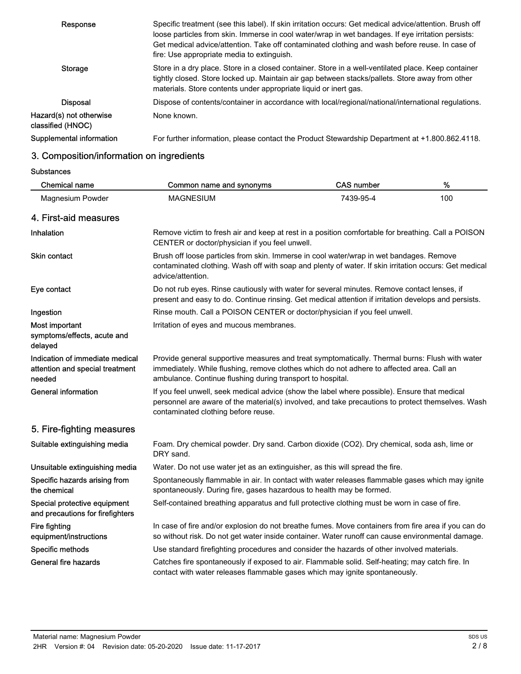| Response                                     | Specific treatment (see this label). If skin irritation occurs: Get medical advice/attention. Brush off<br>loose particles from skin. Immerse in cool water/wrap in wet bandages. If eye irritation persists:<br>Get medical advice/attention. Take off contaminated clothing and wash before reuse. In case of<br>fire: Use appropriate media to extinguish. |
|----------------------------------------------|---------------------------------------------------------------------------------------------------------------------------------------------------------------------------------------------------------------------------------------------------------------------------------------------------------------------------------------------------------------|
| Storage                                      | Store in a dry place. Store in a closed container. Store in a well-ventilated place. Keep container<br>tightly closed. Store locked up. Maintain air gap between stacks/pallets. Store away from other<br>materials. Store contents under appropriate liquid or inert gas.                                                                                    |
| <b>Disposal</b>                              | Dispose of contents/container in accordance with local/regional/national/international regulations.                                                                                                                                                                                                                                                           |
| Hazard(s) not otherwise<br>classified (HNOC) | None known.                                                                                                                                                                                                                                                                                                                                                   |
| Supplemental information                     | For further information, please contact the Product Stewardship Department at +1.800.862.4118.                                                                                                                                                                                                                                                                |

# 3. Composition/information on ingredients

**Substances** 

| Chemical name                                                                | Common name and synonyms                                                                                                                                                                                                                                  | <b>CAS number</b> | %   |
|------------------------------------------------------------------------------|-----------------------------------------------------------------------------------------------------------------------------------------------------------------------------------------------------------------------------------------------------------|-------------------|-----|
| Magnesium Powder                                                             | <b>MAGNESIUM</b>                                                                                                                                                                                                                                          | 7439-95-4         | 100 |
| 4. First-aid measures                                                        |                                                                                                                                                                                                                                                           |                   |     |
| Inhalation                                                                   | Remove victim to fresh air and keep at rest in a position comfortable for breathing. Call a POISON<br>CENTER or doctor/physician if you feel unwell.                                                                                                      |                   |     |
| <b>Skin contact</b>                                                          | Brush off loose particles from skin. Immerse in cool water/wrap in wet bandages. Remove<br>contaminated clothing. Wash off with soap and plenty of water. If skin irritation occurs: Get medical<br>advice/attention.                                     |                   |     |
| Eye contact                                                                  | Do not rub eyes. Rinse cautiously with water for several minutes. Remove contact lenses, if<br>present and easy to do. Continue rinsing. Get medical attention if irritation develops and persists.                                                       |                   |     |
| Ingestion                                                                    | Rinse mouth. Call a POISON CENTER or doctor/physician if you feel unwell.                                                                                                                                                                                 |                   |     |
| Most important<br>symptoms/effects, acute and<br>delayed                     | Irritation of eyes and mucous membranes.                                                                                                                                                                                                                  |                   |     |
| Indication of immediate medical<br>attention and special treatment<br>needed | Provide general supportive measures and treat symptomatically. Thermal burns: Flush with water<br>immediately. While flushing, remove clothes which do not adhere to affected area. Call an<br>ambulance. Continue flushing during transport to hospital. |                   |     |
| <b>General information</b>                                                   | If you feel unwell, seek medical advice (show the label where possible). Ensure that medical<br>personnel are aware of the material(s) involved, and take precautions to protect themselves. Wash<br>contaminated clothing before reuse.                  |                   |     |
| 5. Fire-fighting measures                                                    |                                                                                                                                                                                                                                                           |                   |     |
| Suitable extinguishing media                                                 | Foam. Dry chemical powder. Dry sand. Carbon dioxide (CO2). Dry chemical, soda ash, lime or<br>DRY sand.                                                                                                                                                   |                   |     |
| Unsuitable extinguishing media                                               | Water. Do not use water jet as an extinguisher, as this will spread the fire.                                                                                                                                                                             |                   |     |
| Specific hazards arising from<br>the chemical                                | Spontaneously flammable in air. In contact with water releases flammable gases which may ignite<br>spontaneously. During fire, gases hazardous to health may be formed.                                                                                   |                   |     |
| Special protective equipment<br>and precautions for firefighters             | Self-contained breathing apparatus and full protective clothing must be worn in case of fire.                                                                                                                                                             |                   |     |
| <b>Fire fighting</b><br>equipment/instructions                               | In case of fire and/or explosion do not breathe fumes. Move containers from fire area if you can do<br>so without risk. Do not get water inside container. Water runoff can cause environmental damage.                                                   |                   |     |
| Specific methods                                                             | Use standard firefighting procedures and consider the hazards of other involved materials.                                                                                                                                                                |                   |     |
| General fire hazards                                                         | Catches fire spontaneously if exposed to air. Flammable solid. Self-heating; may catch fire. In<br>contact with water releases flammable gases which may ignite spontaneously.                                                                            |                   |     |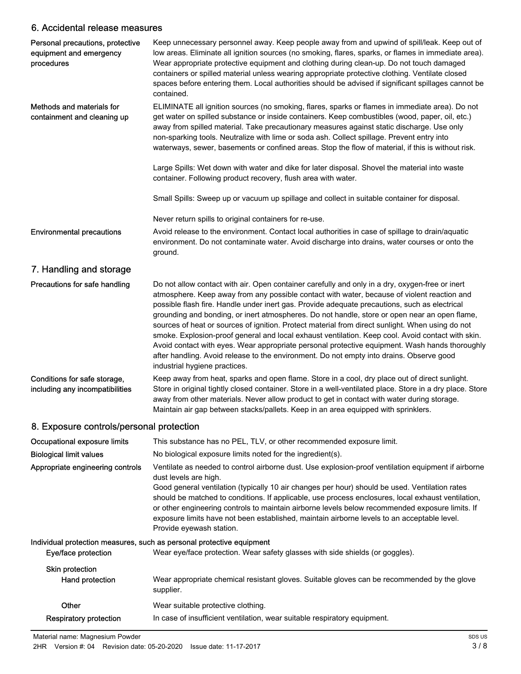## 6. Accidental release measures

| Personal precautions, protective<br>equipment and emergency<br>procedures | Keep unnecessary personnel away. Keep people away from and upwind of spill/leak. Keep out of<br>low areas. Eliminate all ignition sources (no smoking, flares, sparks, or flames in immediate area).<br>Wear appropriate protective equipment and clothing during clean-up. Do not touch damaged<br>containers or spilled material unless wearing appropriate protective clothing. Ventilate closed<br>spaces before entering them. Local authorities should be advised if significant spillages cannot be<br>contained.                                                                                                                                                                                                                                                                                                                 |
|---------------------------------------------------------------------------|------------------------------------------------------------------------------------------------------------------------------------------------------------------------------------------------------------------------------------------------------------------------------------------------------------------------------------------------------------------------------------------------------------------------------------------------------------------------------------------------------------------------------------------------------------------------------------------------------------------------------------------------------------------------------------------------------------------------------------------------------------------------------------------------------------------------------------------|
| Methods and materials for<br>containment and cleaning up                  | ELIMINATE all ignition sources (no smoking, flares, sparks or flames in immediate area). Do not<br>get water on spilled substance or inside containers. Keep combustibles (wood, paper, oil, etc.)<br>away from spilled material. Take precautionary measures against static discharge. Use only<br>non-sparking tools. Neutralize with lime or soda ash. Collect spillage. Prevent entry into<br>waterways, sewer, basements or confined areas. Stop the flow of material, if this is without risk.                                                                                                                                                                                                                                                                                                                                     |
|                                                                           | Large Spills: Wet down with water and dike for later disposal. Shovel the material into waste<br>container. Following product recovery, flush area with water.                                                                                                                                                                                                                                                                                                                                                                                                                                                                                                                                                                                                                                                                           |
|                                                                           | Small Spills: Sweep up or vacuum up spillage and collect in suitable container for disposal.                                                                                                                                                                                                                                                                                                                                                                                                                                                                                                                                                                                                                                                                                                                                             |
|                                                                           | Never return spills to original containers for re-use.                                                                                                                                                                                                                                                                                                                                                                                                                                                                                                                                                                                                                                                                                                                                                                                   |
| <b>Environmental precautions</b>                                          | Avoid release to the environment. Contact local authorities in case of spillage to drain/aquatic<br>environment. Do not contaminate water. Avoid discharge into drains, water courses or onto the<br>ground.                                                                                                                                                                                                                                                                                                                                                                                                                                                                                                                                                                                                                             |
| 7. Handling and storage                                                   |                                                                                                                                                                                                                                                                                                                                                                                                                                                                                                                                                                                                                                                                                                                                                                                                                                          |
| Precautions for safe handling                                             | Do not allow contact with air. Open container carefully and only in a dry, oxygen-free or inert<br>atmosphere. Keep away from any possible contact with water, because of violent reaction and<br>possible flash fire. Handle under inert gas. Provide adequate precautions, such as electrical<br>grounding and bonding, or inert atmospheres. Do not handle, store or open near an open flame,<br>sources of heat or sources of ignition. Protect material from direct sunlight. When using do not<br>smoke. Explosion-proof general and local exhaust ventilation. Keep cool. Avoid contact with skin.<br>Avoid contact with eyes. Wear appropriate personal protective equipment. Wash hands thoroughly<br>after handling. Avoid release to the environment. Do not empty into drains. Observe good<br>industrial hygiene practices. |
| Conditions for safe storage,<br>including any incompatibilities           | Keep away from heat, sparks and open flame. Store in a cool, dry place out of direct sunlight.<br>Store in original tightly closed container. Store in a well-ventilated place. Store in a dry place. Store<br>away from other materials. Never allow product to get in contact with water during storage.<br>Maintain air gap between stacks/pallets. Keep in an area equipped with sprinklers.                                                                                                                                                                                                                                                                                                                                                                                                                                         |
| 8. Exposure controls/personal protection                                  |                                                                                                                                                                                                                                                                                                                                                                                                                                                                                                                                                                                                                                                                                                                                                                                                                                          |
| Occupational exposure limits                                              | This substance has no PEL, TLV, or other recommended exposure limit.                                                                                                                                                                                                                                                                                                                                                                                                                                                                                                                                                                                                                                                                                                                                                                     |
| <b>Biological limit values</b>                                            | No biological exposure limits noted for the ingredient(s).                                                                                                                                                                                                                                                                                                                                                                                                                                                                                                                                                                                                                                                                                                                                                                               |
| Appropriate engineering controls                                          | Ventilate as needed to control airborne dust. Use explosion-proof ventilation equipment if airborne<br>dust levels are high.<br>Good general ventilation (typically 10 air changes per hour) should be used. Ventilation rates<br>should be matched to conditions. If applicable, use process enclosures, local exhaust ventilation,<br>or other engineering controls to maintain airborne levels below recommended exposure limits. If<br>exposure limits have not been established, maintain airborne levels to an acceptable level.<br>Provide eyewash station.                                                                                                                                                                                                                                                                       |
| Eye/face protection                                                       | Individual protection measures, such as personal protective equipment<br>Wear eye/face protection. Wear safety glasses with side shields (or goggles).                                                                                                                                                                                                                                                                                                                                                                                                                                                                                                                                                                                                                                                                                   |
| Skin protection<br>Hand protection                                        | Wear appropriate chemical resistant gloves. Suitable gloves can be recommended by the glove<br>supplier.                                                                                                                                                                                                                                                                                                                                                                                                                                                                                                                                                                                                                                                                                                                                 |
| Other                                                                     | Wear suitable protective clothing.                                                                                                                                                                                                                                                                                                                                                                                                                                                                                                                                                                                                                                                                                                                                                                                                       |
| <b>Respiratory protection</b>                                             | In case of insufficient ventilation, wear suitable respiratory equipment.                                                                                                                                                                                                                                                                                                                                                                                                                                                                                                                                                                                                                                                                                                                                                                |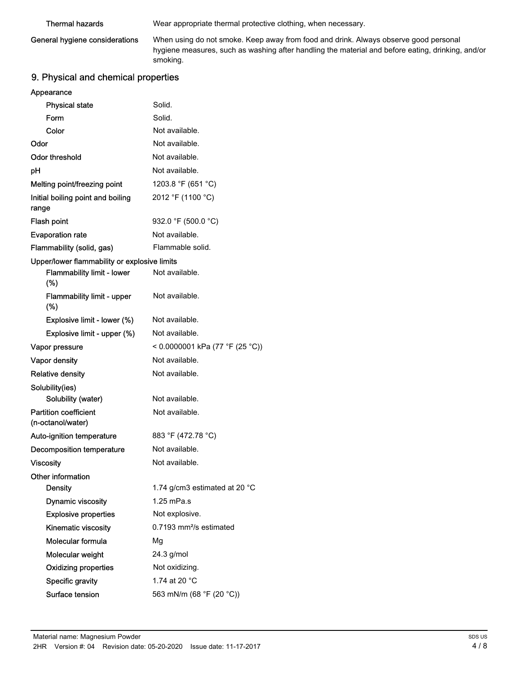Thermal hazards **Wear appropriate thermal protective clothing**, when necessary.

General hygiene considerations

When using do not smoke. Keep away from food and drink. Always observe good personal hygiene measures, such as washing after handling the material and before eating, drinking, and/or smoking.

#### 9. Physical and chemical properties

| Appearance                                        |                                         |
|---------------------------------------------------|-----------------------------------------|
| <b>Physical state</b>                             | Solid.                                  |
| Form                                              | Solid.                                  |
| Color                                             | Not available.                          |
| Odor                                              | Not available.                          |
| <b>Odor threshold</b>                             | Not available.                          |
| рH                                                | Not available.                          |
| Melting point/freezing point                      | 1203.8 °F (651 °C)                      |
| Initial boiling point and boiling<br>range        | 2012 °F (1100 °C)                       |
| Flash point                                       | 932.0 °F (500.0 °C)                     |
| <b>Evaporation rate</b>                           | Not available.                          |
| Flammability (solid, gas)                         | Flammable solid.                        |
| Upper/lower flammability or explosive limits      |                                         |
| <b>Flammability limit - lower</b><br>$(\% )$      | Not available.                          |
| <b>Flammability limit - upper</b><br>(%)          | Not available.                          |
| Explosive limit - lower (%)                       | Not available.                          |
| Explosive limit - upper (%)                       | Not available.                          |
| Vapor pressure                                    | < 0.0000001 kPa (77 °F (25 °C))         |
| Vapor density                                     | Not available.                          |
| <b>Relative density</b>                           | Not available.                          |
| Solubility(ies)                                   |                                         |
| Solubility (water)                                | Not available.                          |
| <b>Partition coefficient</b><br>(n-octanol/water) | Not available.                          |
| Auto-ignition temperature                         | 883 °F (472.78 °C)                      |
| <b>Decomposition temperature</b>                  | Not available.                          |
| <b>Viscosity</b>                                  | Not available.                          |
| Other information                                 |                                         |
| <b>Density</b>                                    | 1.74 g/cm3 estimated at 20 $^{\circ}$ C |
| <b>Dynamic viscosity</b>                          | $1.25$ mPa.s                            |
| <b>Explosive properties</b>                       | Not explosive.                          |
| Kinematic viscosity                               | 0.7193 mm <sup>2</sup> /s estimated     |
| Molecular formula                                 | Mg                                      |
| Molecular weight                                  | 24.3 g/mol                              |
| <b>Oxidizing properties</b>                       | Not oxidizing.                          |
| Specific gravity                                  | 1.74 at 20 °C                           |
| Surface tension                                   | 563 mN/m (68 °F (20 °C))                |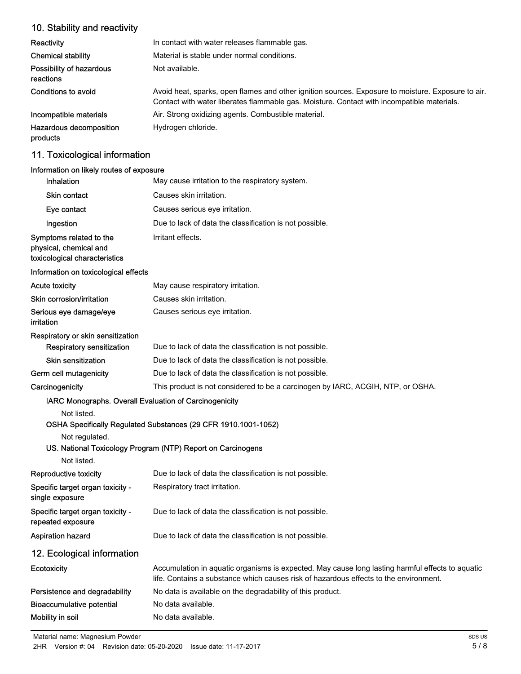### 10. Stability and reactivity

| Reactivity                            | In contact with water releases flammable gas.                                                                                                                                                    |
|---------------------------------------|--------------------------------------------------------------------------------------------------------------------------------------------------------------------------------------------------|
| <b>Chemical stability</b>             | Material is stable under normal conditions.                                                                                                                                                      |
| Possibility of hazardous<br>reactions | Not available.                                                                                                                                                                                   |
| Conditions to avoid                   | Avoid heat, sparks, open flames and other ignition sources. Exposure to moisture. Exposure to air.<br>Contact with water liberates flammable gas. Moisture. Contact with incompatible materials. |
| Incompatible materials                | Air. Strong oxidizing agents. Combustible material.                                                                                                                                              |
| Hazardous decomposition<br>products   | Hydrogen chloride.                                                                                                                                                                               |

# 11. Toxicological information

# Information on likely routes of exposure

| Inhalation                                                                         | May cause irritation to the respiratory system.                                                                                                                                           |
|------------------------------------------------------------------------------------|-------------------------------------------------------------------------------------------------------------------------------------------------------------------------------------------|
| <b>Skin contact</b>                                                                | Causes skin irritation.                                                                                                                                                                   |
| Eye contact                                                                        | Causes serious eye irritation.                                                                                                                                                            |
| Ingestion                                                                          | Due to lack of data the classification is not possible.                                                                                                                                   |
| Symptoms related to the<br>physical, chemical and<br>toxicological characteristics | Irritant effects.                                                                                                                                                                         |
| Information on toxicological effects                                               |                                                                                                                                                                                           |
| <b>Acute toxicity</b>                                                              | May cause respiratory irritation.                                                                                                                                                         |
| Skin corrosion/irritation                                                          | Causes skin irritation.                                                                                                                                                                   |
| Serious eye damage/eye<br>irritation                                               | Causes serious eye irritation.                                                                                                                                                            |
| Respiratory or skin sensitization                                                  |                                                                                                                                                                                           |
| <b>Respiratory sensitization</b>                                                   | Due to lack of data the classification is not possible.                                                                                                                                   |
| <b>Skin sensitization</b>                                                          | Due to lack of data the classification is not possible.                                                                                                                                   |
| Germ cell mutagenicity                                                             | Due to lack of data the classification is not possible.                                                                                                                                   |
| Carcinogenicity                                                                    | This product is not considered to be a carcinogen by IARC, ACGIH, NTP, or OSHA.                                                                                                           |
| IARC Monographs. Overall Evaluation of Carcinogenicity                             |                                                                                                                                                                                           |
| Not listed.                                                                        |                                                                                                                                                                                           |
|                                                                                    | OSHA Specifically Regulated Substances (29 CFR 1910.1001-1052)                                                                                                                            |
| Not regulated.                                                                     |                                                                                                                                                                                           |
| Not listed.                                                                        | US. National Toxicology Program (NTP) Report on Carcinogens                                                                                                                               |
| Reproductive toxicity                                                              | Due to lack of data the classification is not possible.                                                                                                                                   |
| Specific target organ toxicity -                                                   | Respiratory tract irritation.                                                                                                                                                             |
| single exposure                                                                    |                                                                                                                                                                                           |
| Specific target organ toxicity -<br>repeated exposure                              | Due to lack of data the classification is not possible.                                                                                                                                   |
| <b>Aspiration hazard</b>                                                           | Due to lack of data the classification is not possible.                                                                                                                                   |
| 12. Ecological information                                                         |                                                                                                                                                                                           |
| Ecotoxicity                                                                        | Accumulation in aguatic organisms is expected. May cause long lasting harmful effects to aguatic<br>life. Contains a substance which causes risk of hazardous effects to the environment. |
| Persistence and degradability                                                      | No data is available on the degradability of this product.                                                                                                                                |
| <b>Bioaccumulative potential</b>                                                   | No data available.                                                                                                                                                                        |
| Mobility in soil                                                                   | No data available.                                                                                                                                                                        |

Material name: Magnesium Powder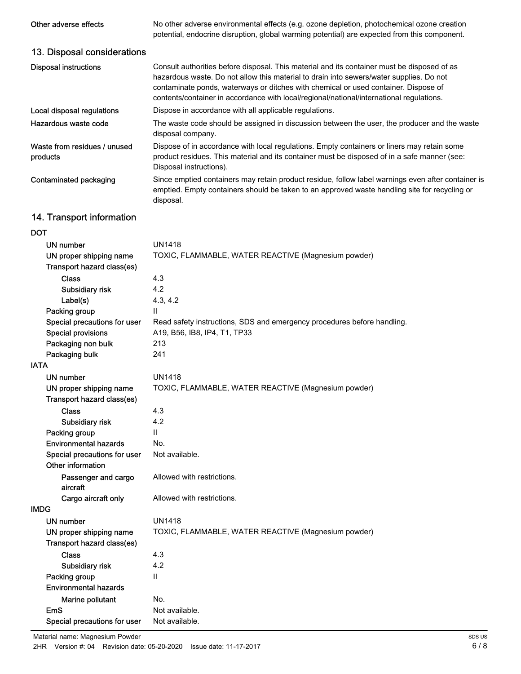| No other adverse environmental effects (e.g. ozone depletion, photochemical ozone creation<br>potential, endocrine disruption, global warming potential) are expected from this component.                                                                                                                                                                                |
|---------------------------------------------------------------------------------------------------------------------------------------------------------------------------------------------------------------------------------------------------------------------------------------------------------------------------------------------------------------------------|
|                                                                                                                                                                                                                                                                                                                                                                           |
| Consult authorities before disposal. This material and its container must be disposed of as<br>hazardous waste. Do not allow this material to drain into sewers/water supplies. Do not<br>contaminate ponds, waterways or ditches with chemical or used container. Dispose of<br>contents/container in accordance with local/regional/national/international regulations. |
| Dispose in accordance with all applicable regulations.                                                                                                                                                                                                                                                                                                                    |
| The waste code should be assigned in discussion between the user, the producer and the waste<br>disposal company.                                                                                                                                                                                                                                                         |
| Dispose of in accordance with local regulations. Empty containers or liners may retain some<br>product residues. This material and its container must be disposed of in a safe manner (see:<br>Disposal instructions).                                                                                                                                                    |
| Since emptied containers may retain product residue, follow label warnings even after container is<br>emptied. Empty containers should be taken to an approved waste handling site for recycling or<br>disposal.                                                                                                                                                          |
|                                                                                                                                                                                                                                                                                                                                                                           |

# 14. Transport information

### DOT

| <b>UN number</b>                | UN1418                                                                  |
|---------------------------------|-------------------------------------------------------------------------|
| UN proper shipping name         | TOXIC, FLAMMABLE, WATER REACTIVE (Magnesium powder)                     |
| Transport hazard class(es)      |                                                                         |
| <b>Class</b>                    | 4.3                                                                     |
| Subsidiary risk                 | 4.2                                                                     |
| Label(s)                        | 4.3, 4.2                                                                |
| Packing group                   | $\mathbf{H}$                                                            |
| Special precautions for user    | Read safety instructions, SDS and emergency procedures before handling. |
| <b>Special provisions</b>       | A19, B56, IB8, IP4, T1, TP33                                            |
| Packaging non bulk              | 213                                                                     |
| Packaging bulk                  | 241                                                                     |
| <b>IATA</b>                     |                                                                         |
| <b>UN number</b>                | <b>UN1418</b>                                                           |
| UN proper shipping name         | TOXIC, FLAMMABLE, WATER REACTIVE (Magnesium powder)                     |
| Transport hazard class(es)      |                                                                         |
| <b>Class</b>                    | 4.3                                                                     |
| Subsidiary risk                 | 4.2                                                                     |
| Packing group                   | $\mathbf{H}$                                                            |
| <b>Environmental hazards</b>    | No.                                                                     |
| Special precautions for user    | Not available.                                                          |
| Other information               |                                                                         |
| Passenger and cargo<br>aircraft | Allowed with restrictions.                                              |
| Cargo aircraft only             | Allowed with restrictions.                                              |
| <b>IMDG</b>                     |                                                                         |
| <b>UN number</b>                | <b>UN1418</b>                                                           |
| UN proper shipping name         | TOXIC, FLAMMABLE, WATER REACTIVE (Magnesium powder)                     |
| Transport hazard class(es)      |                                                                         |
| <b>Class</b>                    | 4.3                                                                     |
| Subsidiary risk                 | 4.2                                                                     |
| Packing group                   | Ш                                                                       |
| <b>Environmental hazards</b>    |                                                                         |
| Marine pollutant                | No.                                                                     |
| <b>EmS</b>                      | Not available.                                                          |
| Special precautions for user    | Not available.                                                          |
|                                 |                                                                         |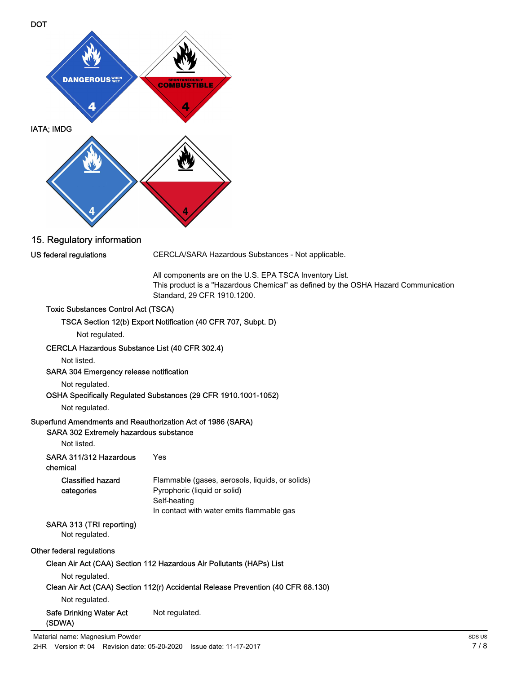

US federal regulations

CERCLA/SARA Hazardous Substances - Not applicable.

All components are on the U.S. EPA TSCA Inventory List. This product is a "Hazardous Chemical" as defined by the OSHA Hazard Communication Standard, 29 CFR 1910.1200.

#### Toxic Substances Control Act (TSCA)

#### TSCA Section 12(b) Export Notification (40 CFR 707, Subpt. D)

Not regulated.

#### CERCLA Hazardous Substance List (40 CFR 302.4)

Not listed.

#### SARA 304 Emergency release notification

#### Not regulated.

#### OSHA Specifically Regulated Substances (29 CFR 1910.1001-1052)

Not regulated.

#### Superfund Amendments and Reauthorization Act of 1986 (SARA)

#### SARA 302 Extremely hazardous substance

Not listed.

| SARA 311/312 Hazardous<br>chemical     | Yes                                                                                                                                          |
|----------------------------------------|----------------------------------------------------------------------------------------------------------------------------------------------|
| <b>Classified hazard</b><br>categories | Flammable (gases, aerosols, liquids, or solids)<br>Pyrophoric (liquid or solid)<br>Self-heating<br>In contact with water emits flammable gas |

#### SARA 313 (TRI reporting)

Not regulated.

#### Other federal regulations

# Clean Air Act (CAA) Section 112 Hazardous Air Pollutants (HAPs) List

Not regulated.

### Clean Air Act (CAA) Section 112(r) Accidental Release Prevention (40 CFR 68.130)

Not regulated.

### Safe Drinking Water Act Not regulated. (SDWA)